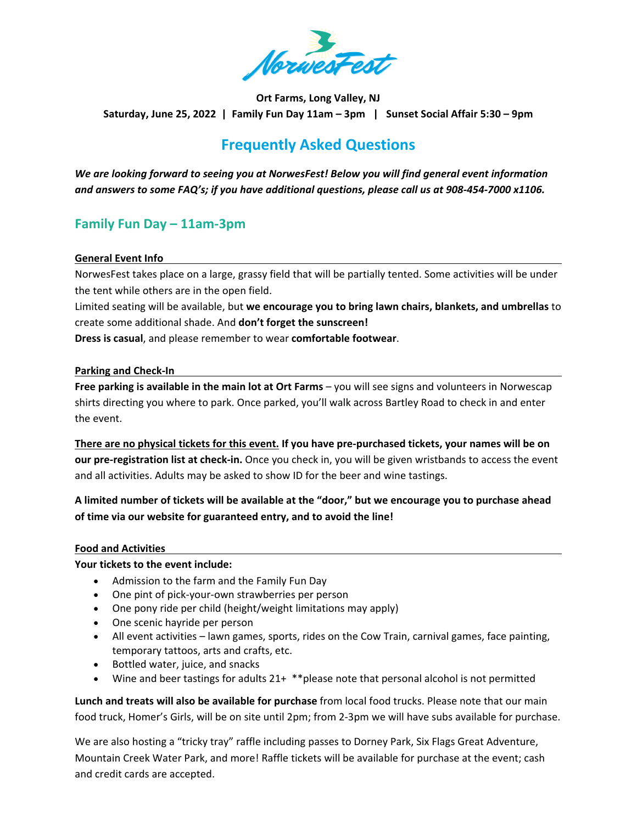

**Ort Farms, Long Valley, NJ** Saturday, June 25, 2022 | Family Fun Day 11am - 3pm | Sunset Social Affair 5:30 - 9pm

# **Frequently Asked Questions**

*We are looking forward to seeing you at NorwesFest! Below you will find general event information* and answers to some FAQ's; if you have additional questions, please call us at 908-454-7000 x1106.

## **Family Fun Day – 11am‐3pm**

#### **General Event Info**

NorwesFest takes place on a large, grassy field that will be partially tented. Some activities will be under the tent while others are in the open field.

Limited seating will be available, but **we encourage you to bring lawn chairs, blankets, and umbrellas** to create some additional shade. And **don't forget the sunscreen!**

**Dress is casual**, and please remember to wear **comfortable footwear**.

#### **Parking and Check‐In**

**Free parking is available in the main lot at Ort Farms** – you will see signs and volunteers in Norwescap shirts directing you where to park. Once parked, you'll walk across Bartley Road to check in and enter the event.

There are no physical tickets for this event. If you have pre-purchased tickets, your names will be on **our pre‐registration list at check‐in.** Once you check in, you will be given wristbands to access the event and all activities. Adults may be asked to show ID for the beer and wine tastings.

### A limited number of tickets will be available at the "door," but we encourage you to purchase ahead **of time via our website for guaranteed entry, and to avoid the line!**

#### **Food and Activities**

#### **Your tickets to the event include:**

- Admission to the farm and the Family Fun Day
- One pint of pick-your-own strawberries per person
- One pony ride per child (height/weight limitations may apply)
- One scenic hayride per person
- All event activities lawn games, sports, rides on the Cow Train, carnival games, face painting, temporary tattoos, arts and crafts, etc.
- Bottled water, juice, and snacks
- Wine and beer tastings for adults 21+ \*\*please note that personal alcohol is not permitted

**Lunch and treats will also be available for purchase** from local food trucks. Please note that our main food truck, Homer's Girls, will be on site until 2pm; from 2‐3pm we will have subs available for purchase.

We are also hosting a "tricky tray" raffle including passes to Dorney Park, Six Flags Great Adventure, Mountain Creek Water Park, and more! Raffle tickets will be available for purchase at the event; cash and credit cards are accepted.